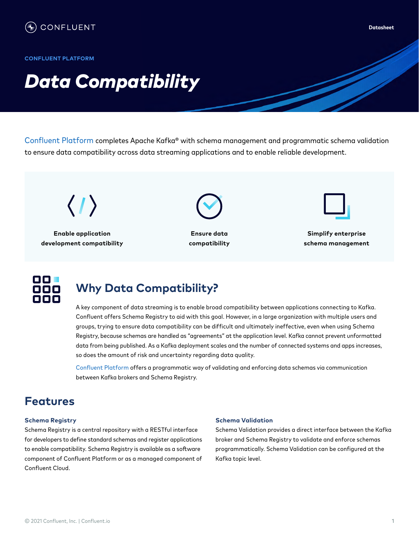

#### **CONFLUENT PLATFORM**

# *Data Compatibility*

[Confluent Platform](https://www.confluent.io/product/confluent-platform) completes Apache Kafka® with schema management and programmatic schema validation to ensure data compatibility across data streaming applications and to enable reliable development.

 $\langle \, \vert \, \rangle$ 

**Enable application development compatibility**

**Ensure data compatibility**



**Simplify enterprise schema management**

00 L 000 888

# **Why Data Compatibility?**

A key component of data streaming is to enable broad compatibility between applications connecting to Kafka. Confluent offers Schema Registry to aid with this goal. However, in a large organization with multiple users and groups, trying to ensure data compatibility can be difficult and ultimately ineffective, even when using Schema Registry, because schemas are handled as "agreements" at the application level. Kafka cannot prevent unformatted data from being published. As a Kafka deployment scales and the number of connected systems and apps increases, so does the amount of risk and uncertainty regarding data quality.

[Confluent Platform](https://www.confluent.io/product/confluent-platform) offers a programmatic way of validating and enforcing data schemas via communication between Kafka brokers and Schema Registry.

# **Features**

#### **Schema Registry**

Schema Registry is a central repository with a RESTful interface for developers to define standard schemas and register applications to enable compatibility. Schema Registry is available as a software component of Confluent Platform or as a managed component of Confluent Cloud.

#### **Schema Validation**

Schema Validation provides a direct interface between the Kafka broker and Schema Registry to validate and enforce schemas programmatically. Schema Validation can be configured at the Kafka topic level.